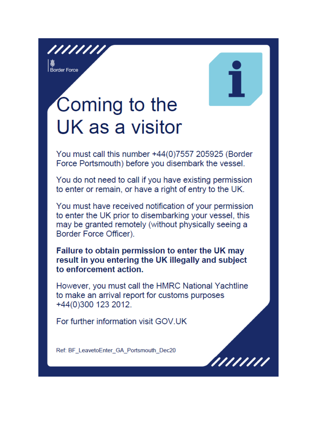//////// **S**<br>Border Force

# Coming to the UK as a visitor

You must call this number +44(0)7557 205925 (Border Force Portsmouth) before you disembark the vessel.

You do not need to call if you have existing permission to enter or remain, or have a right of entry to the UK.

You must have received notification of your permission to enter the UK prior to disembarking your vessel, this may be granted remotely (without physically seeing a Border Force Officer).

Failure to obtain permission to enter the UK may result in you entering the UK illegally and subject to enforcement action.

However, you must call the HMRC National Yachtline to make an arrival report for customs purposes +44(0)300 123 2012.

For further information visit GOV.UK

Ref: BF LeavetoEnter GA Portsmouth Dec20

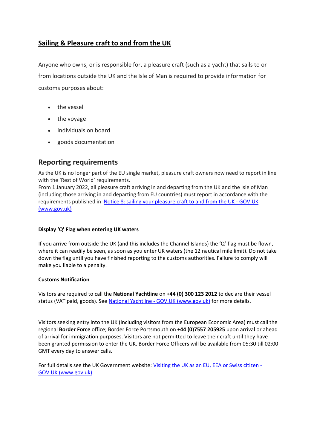# **Sailing & Pleasure craft to and from the UK**

Anyone who owns, or is responsible for, a pleasure craft (such as a yacht) that sails to or from locations outside the UK and the Isle of Man is required to provide information for customs purposes about:

- the vessel
- the voyage
- individuals on board
- goods documentation

# **Reporting requirements**

As the UK is no longer part of the EU single market, pleasure craft owners now need to report in line with the 'Rest of World' requirements.

From 1 January 2022, all pleasure craft arriving in and departing from the UK and the Isle of Man (including those arriving in and departing from EU countries) must report in accordance with the requirements published in [Notice 8: sailing your pleasure craft to and from the UK -](https://www.gov.uk/government/publications/notice-8-sailing-your-pleasure-craft-to-and-from-the-uk) GOV.UK [\(www.gov.uk\)](https://www.gov.uk/government/publications/notice-8-sailing-your-pleasure-craft-to-and-from-the-uk)

### **Display 'Q' Flag when entering UK waters**

If you arrive from outside the UK (and this includes the Channel Islands) the 'Q' flag must be flown, where it can readily be seen, as soon as you enter UK waters (the 12 nautical mile limit). Do not take down the flag until you have finished reporting to the customs authorities. Failure to comply will make you liable to a penalty.

#### **Customs Notification**

Visitors are required to call the **National Yachtline** on **+44 (0) 300 123 2012** to declare their vessel status (VAT paid, goods). See National Yachtline - [GOV.UK \(www.gov.uk\)](https://www.gov.uk/government/organisations/hm-revenue-customs/contact/national-yachtline) for more details.

Visitors seeking entry into the UK (including visitors from the European Economic Area) must call the regional **Border Force** office; Border Force Portsmouth on **+44 (0)7557 205925** upon arrival or ahead of arrival for immigration purposes. Visitors are not permitted to leave their craft until they have been granted permission to enter the UK. Border Force Officers will be available from 05:30 till 02:00 GMT every day to answer calls.

For full details see the UK Government website: [Visiting the UK as an EU, EEA or Swiss citizen -](https://www.gov.uk/guidance/visiting-the-uk-as-an-eu-eea-or-swiss-citizen#what-youll-need-to-enter-the-uk) [GOV.UK \(www.gov.uk\)](https://www.gov.uk/guidance/visiting-the-uk-as-an-eu-eea-or-swiss-citizen#what-youll-need-to-enter-the-uk)